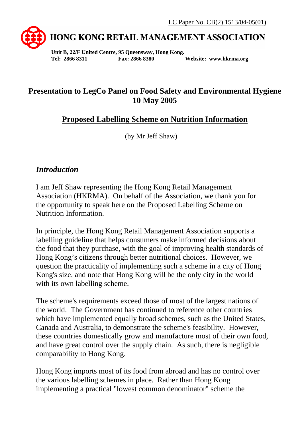

# **HONG KONG RETAIL MANAGEMENT ASSOCIATION**

**Unit B, 22/F United Centre, 95 Queensway, Hong Kong. Tel: 2866 8311 Fax: 2866 8380 Website: www.hkrma.org** 

## **Presentation to LegCo Panel on Food Safety and Environmental Hygiene 10 May 2005**

### **Proposed Labelling Scheme on Nutrition Information**

(by Mr Jeff Shaw)

#### *Introduction*

I am Jeff Shaw representing the Hong Kong Retail Management Association (HKRMA). On behalf of the Association, we thank you for the opportunity to speak here on the Proposed Labelling Scheme on Nutrition Information.

In principle, the Hong Kong Retail Management Association supports a labelling guideline that helps consumers make informed decisions about the food that they purchase, with the goal of improving health standards of Hong Kong's citizens through better nutritional choices. However, we question the practicality of implementing such a scheme in a city of Hong Kong's size, and note that Hong Kong will be the only city in the world with its own labelling scheme.

The scheme's requirements exceed those of most of the largest nations of the world. The Government has continued to reference other countries which have implemented equally broad schemes, such as the United States, Canada and Australia, to demonstrate the scheme's feasibility. However, these countries domestically grow and manufacture most of their own food, and have great control over the supply chain. As such, there is negligible comparability to Hong Kong.

Hong Kong imports most of its food from abroad and has no control over the various labelling schemes in place. Rather than Hong Kong implementing a practical "lowest common denominator" scheme the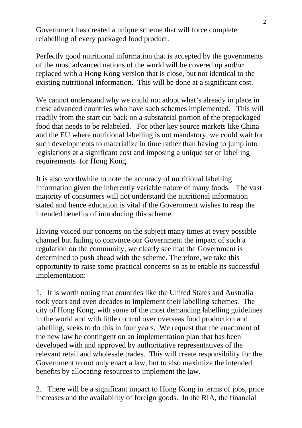Government has created a unique scheme that will force complete relabelling of every packaged food product.

Perfectly good nutritional information that is accepted by the governments of the most advanced nations of the world will be covered up and/or replaced with a Hong Kong version that is close, but not identical to the existing nutritional information. This will be done at a significant cost.

We cannot understand why we could not adopt what's already in place in these advanced countries who have such schemes implemented. This will readily from the start cut back on a substantial portion of the prepackaged food that needs to be relabeled. For other key source markets like China and the EU where nutritional labelling is not mandatory, we could wait for such developments to materialize in time rather than having to jump into legislations at a significant cost and imposing a unique set of labelling requirements for Hong Kong.

It is also worthwhile to note the accuracy of nutritional labelling information given the inherently variable nature of many foods. The vast majority of consumers will not understand the nutritional information stated and hence education is vital if the Government wishes to reap the intended benefits of introducing this scheme.

Having voiced our concerns on the subject many times at every possible channel but failing to convince our Government the impact of such a regulation on the community, we clearly see that the Government is determined to push ahead with the scheme. Therefore, we take this opportunity to raise some practical concerns so as to enable its successful implementation:

1. It is worth noting that countries like the United States and Australia took years and even decades to implement their labelling schemes. The city of Hong Kong, with some of the most demanding labelling guidelines in the world and with little control over overseas food production and labelling, seeks to do this in four years. We request that the enactment of the new law be contingent on an implementation plan that has been developed with and approved by authoritative representatives of the relevant retail and wholesale trades. This will create responsibility for the Government to not only enact a law, but to also maximize the intended benefits by allocating resources to implement the law.

2. There will be a significant impact to Hong Kong in terms of jobs, price increases and the availability of foreign goods. In the RIA, the financial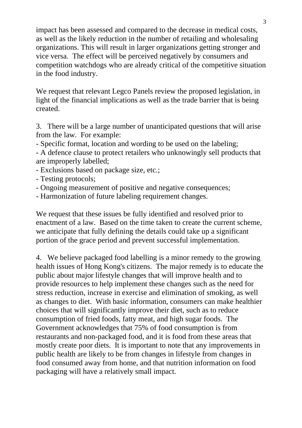impact has been assessed and compared to the decrease in medical costs, as well as the likely reduction in the number of retailing and wholesaling organizations. This will result in larger organizations getting stronger and vice versa. The effect will be perceived negatively by consumers and competition watchdogs who are already critical of the competitive situation in the food industry.

We request that relevant Legco Panels review the proposed legislation, in light of the financial implications as well as the trade barrier that is being created.

3. There will be a large number of unanticipated questions that will arise from the law. For example:

- Specific format, location and wording to be used on the labeling;

- A defence clause to protect retailers who unknowingly sell products that are improperly labelled;

- Exclusions based on package size, etc.;
- Testing protocols;
- Ongoing measurement of positive and negative consequences;
- Harmonization of future labeling requirement changes.

We request that these issues be fully identified and resolved prior to enactment of a law. Based on the time taken to create the current scheme, we anticipate that fully defining the details could take up a significant portion of the grace period and prevent successful implementation.

4. We believe packaged food labelling is a minor remedy to the growing health issues of Hong Kong's citizens. The major remedy is to educate the public about major lifestyle changes that will improve health and to provide resources to help implement these changes such as the need for stress reduction, increase in exercise and elimination of smoking, as well as changes to diet. With basic information, consumers can make healthier choices that will significantly improve their diet, such as to reduce consumption of fried foods, fatty meat, and high sugar foods. The Government acknowledges that 75% of food consumption is from restaurants and non-packaged food, and it is food from these areas that mostly create poor diets. It is important to note that any improvements in public health are likely to be from changes in lifestyle from changes in food consumed away from home, and that nutrition information on food packaging will have a relatively small impact.